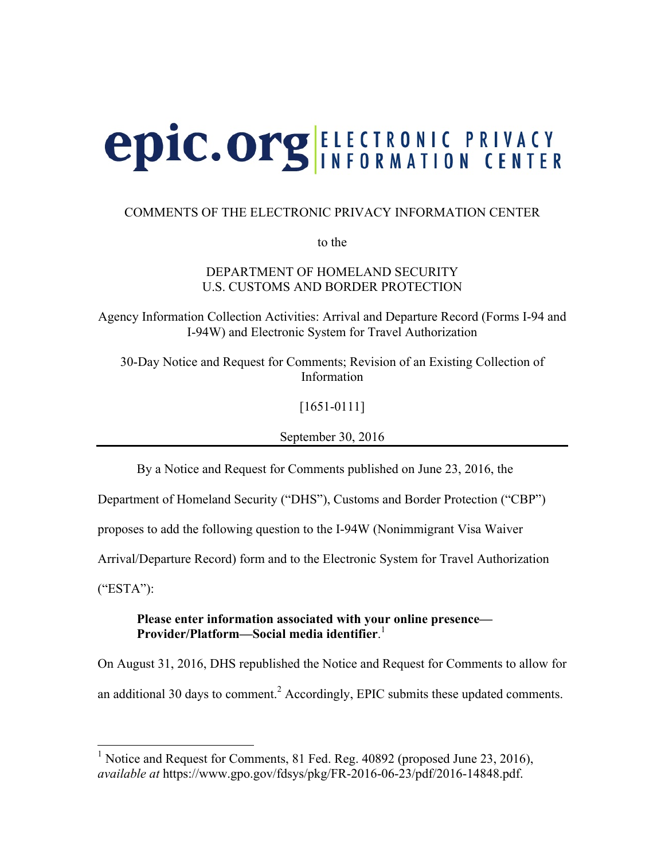# **epic.org ELECTRONIC PRIVACY**

## COMMENTS OF THE ELECTRONIC PRIVACY INFORMATION CENTER

to the

DEPARTMENT OF HOMELAND SECURITY U.S. CUSTOMS AND BORDER PROTECTION

Agency Information Collection Activities: Arrival and Departure Record (Forms I-94 and I-94W) and Electronic System for Travel Authorization

30-Day Notice and Request for Comments; Revision of an Existing Collection of Information

[1651-0111]

September 30, 2016

By a Notice and Request for Comments published on June 23, 2016, the

Department of Homeland Security ("DHS"), Customs and Border Protection ("CBP")

proposes to add the following question to the I-94W (Nonimmigrant Visa Waiver

Arrival/Departure Record) form and to the Electronic System for Travel Authorization

("ESTA"):

## **Please enter information associated with your online presence— Provider/Platform—Social media identifier**. 1

On August 31, 2016, DHS republished the Notice and Request for Comments to allow for an additional 30 days to comment.<sup>2</sup> Accordingly, EPIC submits these updated comments.

<sup>&</sup>lt;sup>1</sup> Notice and Request for Comments, 81 Fed. Reg. 40892 (proposed June 23, 2016). *available at* https://www.gpo.gov/fdsys/pkg/FR-2016-06-23/pdf/2016-14848.pdf.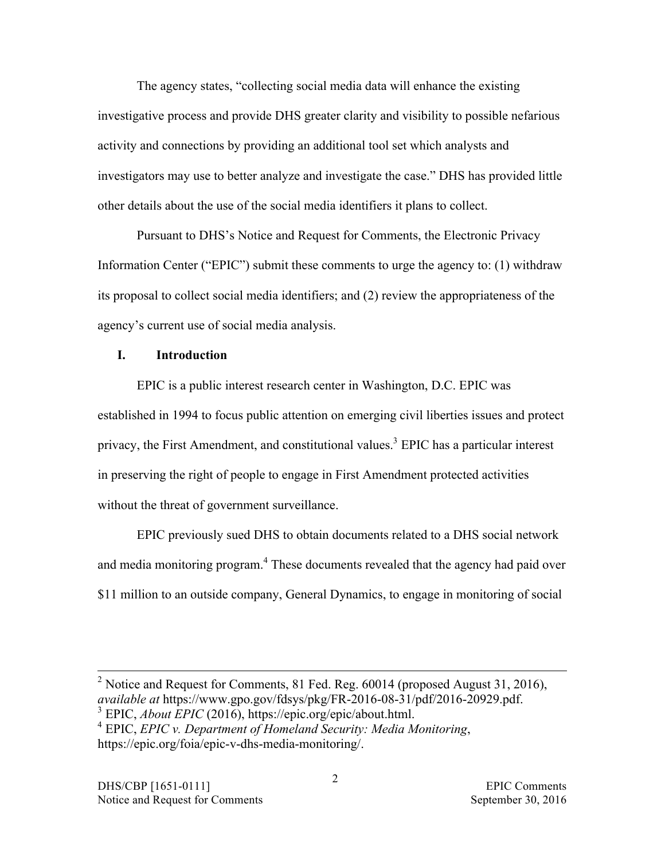The agency states, "collecting social media data will enhance the existing investigative process and provide DHS greater clarity and visibility to possible nefarious activity and connections by providing an additional tool set which analysts and investigators may use to better analyze and investigate the case." DHS has provided little other details about the use of the social media identifiers it plans to collect.

Pursuant to DHS's Notice and Request for Comments, the Electronic Privacy Information Center ("EPIC") submit these comments to urge the agency to: (1) withdraw its proposal to collect social media identifiers; and (2) review the appropriateness of the agency's current use of social media analysis.

## **I. Introduction**

EPIC is a public interest research center in Washington, D.C. EPIC was established in 1994 to focus public attention on emerging civil liberties issues and protect privacy, the First Amendment, and constitutional values.<sup>3</sup> EPIC has a particular interest in preserving the right of people to engage in First Amendment protected activities without the threat of government surveillance.

EPIC previously sued DHS to obtain documents related to a DHS social network and media monitoring program.<sup>4</sup> These documents revealed that the agency had paid over \$11 million to an outside company, General Dynamics, to engage in monitoring of social

<sup>2</sup> Notice and Request for Comments, 81 Fed. Reg.  $60014$  (proposed August 31, 2016), *available at https://www.gpo.gov/fdsys/pkg/FR-2016-08-31/pdf/2016-20929.pdf.*<br><sup>3</sup> EPIC, *About EPIC* (2016), https://epic.org/epic/about.html.

<sup>&</sup>lt;sup>4</sup> EPIC, *EPIC* v. Department of Homeland Security: Media Monitoring, https://epic.org/foia/epic-v-dhs-media-monitoring/.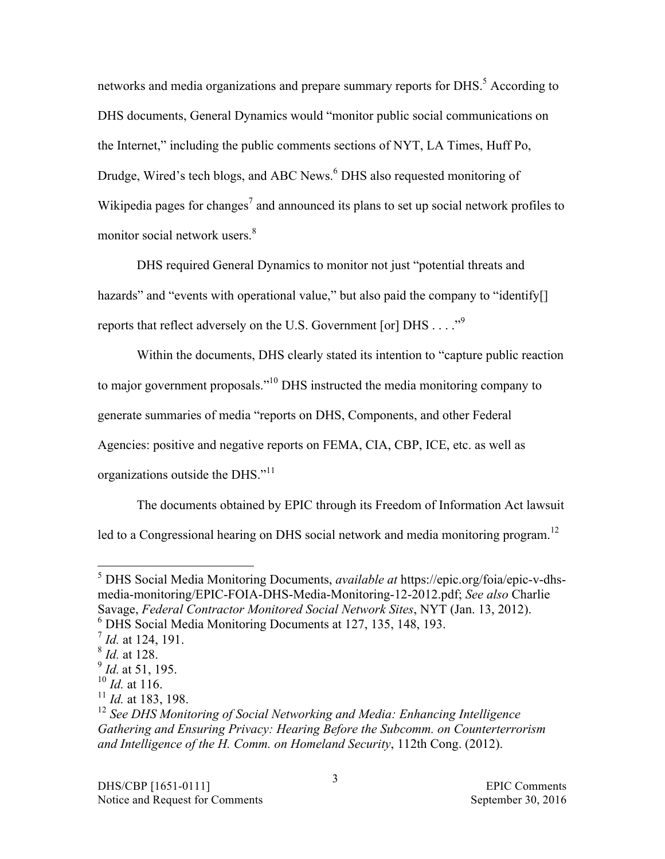networks and media organizations and prepare summary reports for DHS.<sup>5</sup> According to DHS documents, General Dynamics would "monitor public social communications on the Internet," including the public comments sections of NYT, LA Times, Huff Po, Drudge, Wired's tech blogs, and ABC News.<sup>6</sup> DHS also requested monitoring of Wikipedia pages for changes<sup>7</sup> and announced its plans to set up social network profiles to monitor social network users.<sup>8</sup>

DHS required General Dynamics to monitor not just "potential threats and hazards" and "events with operational value," but also paid the company to "identify[] reports that reflect adversely on the U.S. Government [or] DHS . . . . "<sup>9</sup>

Within the documents, DHS clearly stated its intention to "capture public reaction to major government proposals."10 DHS instructed the media monitoring company to generate summaries of media "reports on DHS, Components, and other Federal Agencies: positive and negative reports on FEMA, CIA, CBP, ICE, etc. as well as organizations outside the DHS."<sup>11</sup>

The documents obtained by EPIC through its Freedom of Information Act lawsuit led to a Congressional hearing on DHS social network and media monitoring program.<sup>12</sup>

 <sup>5</sup> DHS Social Media Monitoring Documents, *available at* https://epic.org/foia/epic-v-dhsmedia-monitoring/EPIC-FOIA-DHS-Media-Monitoring-12-2012.pdf; *See also* Charlie Savage, *Federal Contractor Monitored Social Network Sites*, NYT (Jan. 13, 2012). <sup>6</sup> DHS Social Media Monitoring Documents at 127, 135, 148, 193. <sup>7</sup> *Id.* at 124, 191. <sup>8</sup> *Id.* at 128. <sup>9</sup> *Id.* at 51, 195.

 $10$  *Id.* at 116.

<sup>11</sup> *Id.* at 183, 198.

<sup>12</sup> *See DHS Monitoring of Social Networking and Media: Enhancing Intelligence Gathering and Ensuring Privacy: Hearing Before the Subcomm. on Counterterrorism and Intelligence of the H. Comm. on Homeland Security*, 112th Cong. (2012).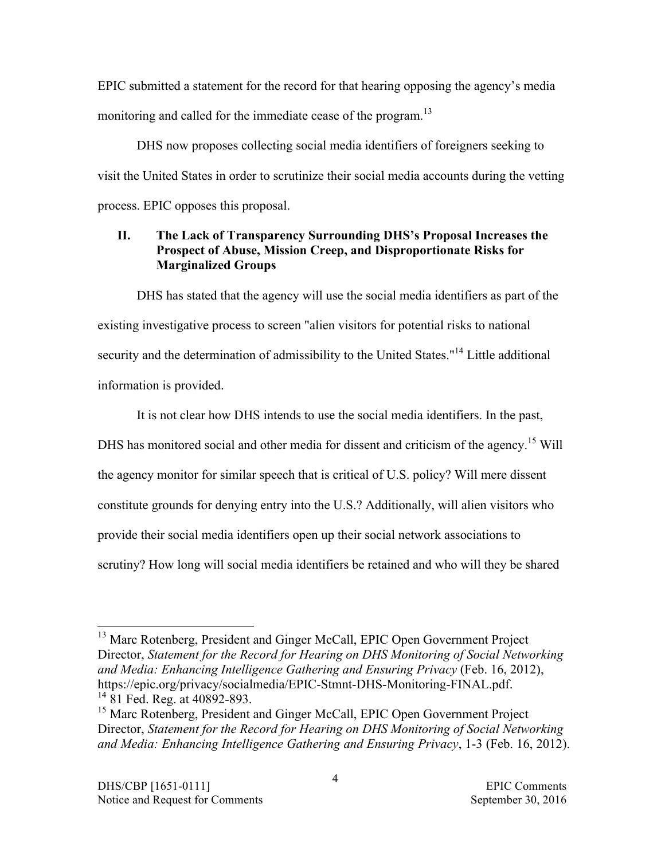EPIC submitted a statement for the record for that hearing opposing the agency's media monitoring and called for the immediate cease of the program.<sup>13</sup>

DHS now proposes collecting social media identifiers of foreigners seeking to visit the United States in order to scrutinize their social media accounts during the vetting process. EPIC opposes this proposal.

# **II. The Lack of Transparency Surrounding DHS's Proposal Increases the Prospect of Abuse, Mission Creep, and Disproportionate Risks for Marginalized Groups**

DHS has stated that the agency will use the social media identifiers as part of the existing investigative process to screen "alien visitors for potential risks to national security and the determination of admissibility to the United States."<sup>14</sup> Little additional information is provided.

It is not clear how DHS intends to use the social media identifiers. In the past, DHS has monitored social and other media for dissent and criticism of the agency.<sup>15</sup> Will the agency monitor for similar speech that is critical of U.S. policy? Will mere dissent constitute grounds for denying entry into the U.S.? Additionally, will alien visitors who provide their social media identifiers open up their social network associations to scrutiny? How long will social media identifiers be retained and who will they be shared

<sup>&</sup>lt;sup>13</sup> Marc Rotenberg, President and Ginger McCall, EPIC Open Government Project Director, *Statement for the Record for Hearing on DHS Monitoring of Social Networking and Media: Enhancing Intelligence Gathering and Ensuring Privacy* (Feb. 16, 2012), https://epic.org/privacy/socialmedia/EPIC-Stmnt-DHS-Monitoring-FINAL.pdf.<br><sup>14</sup> 81 Fed. Reg. at 40892-893.

<sup>&</sup>lt;sup>15</sup> Marc Rotenberg, President and Ginger McCall, EPIC Open Government Project Director, *Statement for the Record for Hearing on DHS Monitoring of Social Networking and Media: Enhancing Intelligence Gathering and Ensuring Privacy*, 1-3 (Feb. 16, 2012).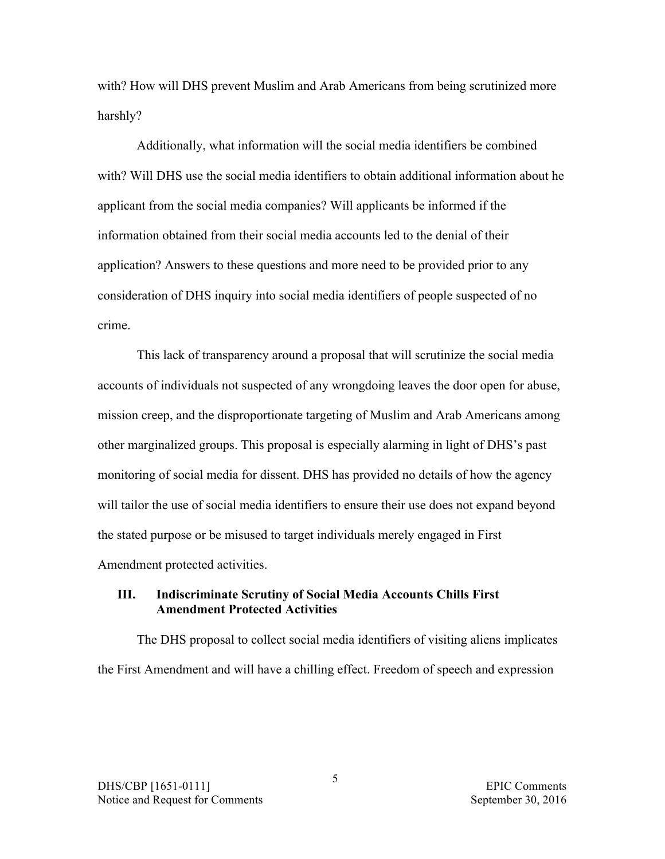with? How will DHS prevent Muslim and Arab Americans from being scrutinized more harshly?

Additionally, what information will the social media identifiers be combined with? Will DHS use the social media identifiers to obtain additional information about he applicant from the social media companies? Will applicants be informed if the information obtained from their social media accounts led to the denial of their application? Answers to these questions and more need to be provided prior to any consideration of DHS inquiry into social media identifiers of people suspected of no crime.

This lack of transparency around a proposal that will scrutinize the social media accounts of individuals not suspected of any wrongdoing leaves the door open for abuse, mission creep, and the disproportionate targeting of Muslim and Arab Americans among other marginalized groups. This proposal is especially alarming in light of DHS's past monitoring of social media for dissent. DHS has provided no details of how the agency will tailor the use of social media identifiers to ensure their use does not expand beyond the stated purpose or be misused to target individuals merely engaged in First Amendment protected activities.

## **III. Indiscriminate Scrutiny of Social Media Accounts Chills First Amendment Protected Activities**

The DHS proposal to collect social media identifiers of visiting aliens implicates the First Amendment and will have a chilling effect. Freedom of speech and expression

5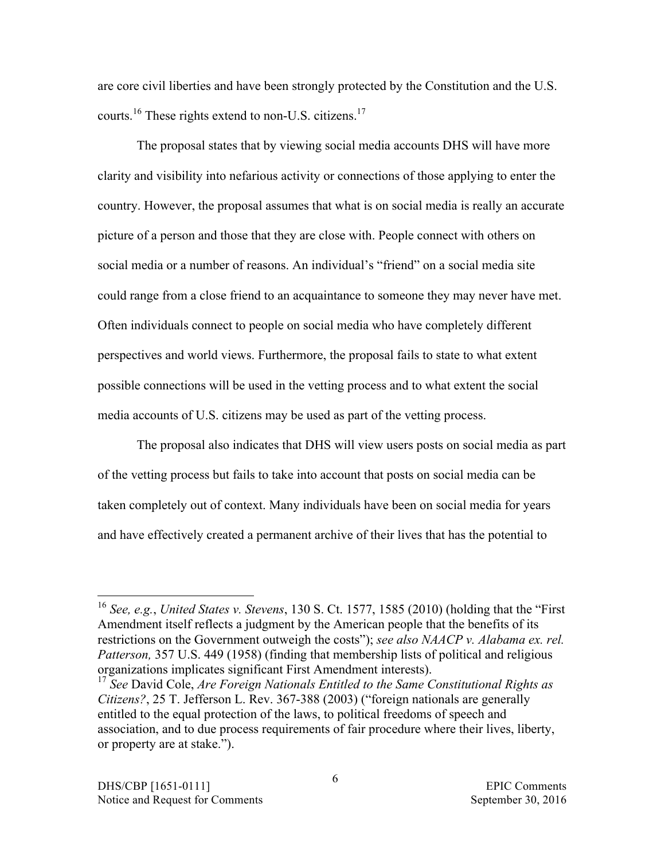are core civil liberties and have been strongly protected by the Constitution and the U.S. courts.<sup>16</sup> These rights extend to non-U.S. citizens.<sup>17</sup>

The proposal states that by viewing social media accounts DHS will have more clarity and visibility into nefarious activity or connections of those applying to enter the country. However, the proposal assumes that what is on social media is really an accurate picture of a person and those that they are close with. People connect with others on social media or a number of reasons. An individual's "friend" on a social media site could range from a close friend to an acquaintance to someone they may never have met. Often individuals connect to people on social media who have completely different perspectives and world views. Furthermore, the proposal fails to state to what extent possible connections will be used in the vetting process and to what extent the social media accounts of U.S. citizens may be used as part of the vetting process.

The proposal also indicates that DHS will view users posts on social media as part of the vetting process but fails to take into account that posts on social media can be taken completely out of context. Many individuals have been on social media for years and have effectively created a permanent archive of their lives that has the potential to

 <sup>16</sup> *See, e.g.*, *United States v. Stevens*, 130 S. Ct. 1577, 1585 (2010) (holding that the "First Amendment itself reflects a judgment by the American people that the benefits of its restrictions on the Government outweigh the costs"); *see also NAACP v. Alabama ex. rel. Patterson,* 357 U.S. 449 (1958) (finding that membership lists of political and religious organizations implicates significant First Amendment interests). <sup>17</sup> *See* David Cole, *Are Foreign Nationals Entitled to the Same Constitutional Rights as* 

*Citizens?*, 25 T. Jefferson L. Rev. 367-388 (2003) ("foreign nationals are generally entitled to the equal protection of the laws, to political freedoms of speech and association, and to due process requirements of fair procedure where their lives, liberty, or property are at stake.").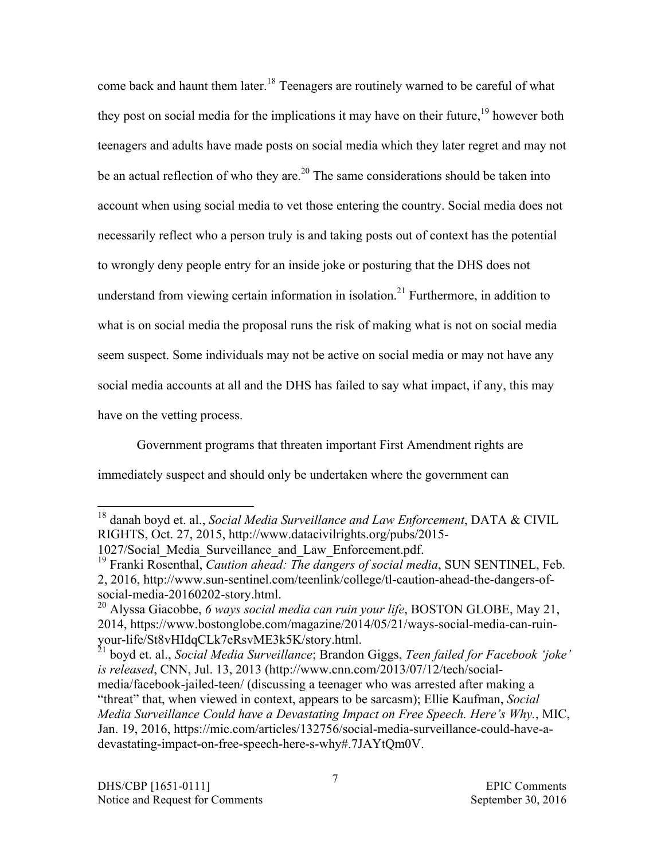come back and haunt them later.<sup>18</sup> Teenagers are routinely warned to be careful of what they post on social media for the implications it may have on their future,<sup>19</sup> however both teenagers and adults have made posts on social media which they later regret and may not be an actual reflection of who they are.<sup>20</sup> The same considerations should be taken into account when using social media to vet those entering the country. Social media does not necessarily reflect who a person truly is and taking posts out of context has the potential to wrongly deny people entry for an inside joke or posturing that the DHS does not understand from viewing certain information in isolation.<sup>21</sup> Furthermore, in addition to what is on social media the proposal runs the risk of making what is not on social media seem suspect. Some individuals may not be active on social media or may not have any social media accounts at all and the DHS has failed to say what impact, if any, this may have on the vetting process.

Government programs that threaten important First Amendment rights are immediately suspect and should only be undertaken where the government can

 <sup>18</sup> danah boyd et. al., *Social Media Surveillance and Law Enforcement*, DATA & CIVIL RIGHTS, Oct. 27, 2015, http://www.datacivilrights.org/pubs/2015-

<sup>1027/</sup>Social\_Media\_Surveillance\_and\_Law\_Enforcement.pdf. <sup>19</sup> Franki Rosenthal, *Caution ahead: The dangers of social media*, SUN SENTINEL, Feb. 2, 2016, http://www.sun-sentinel.com/teenlink/college/tl-caution-ahead-the-dangers-of-

social-media-20160202-story.html. <sup>20</sup> Alyssa Giacobbe, *6 ways social media can ruin your life*, BOSTON GLOBE, May 21, 2014, https://www.bostonglobe.com/magazine/2014/05/21/ways-social-media-can-ruin-

your-life/St8vHIdqCLk7eRsvME3k5K/story.html. <sup>21</sup> boyd et. al., *Social Media Surveillance*; Brandon Giggs, *Teen failed for Facebook 'joke' is released*, CNN, Jul. 13, 2013 (http://www.cnn.com/2013/07/12/tech/socialmedia/facebook-jailed-teen/ (discussing a teenager who was arrested after making a "threat" that, when viewed in context, appears to be sarcasm); Ellie Kaufman, *Social Media Surveillance Could have a Devastating Impact on Free Speech. Here's Why.*, MIC, Jan. 19, 2016, https://mic.com/articles/132756/social-media-surveillance-could-have-adevastating-impact-on-free-speech-here-s-why#.7JAYtQm0V.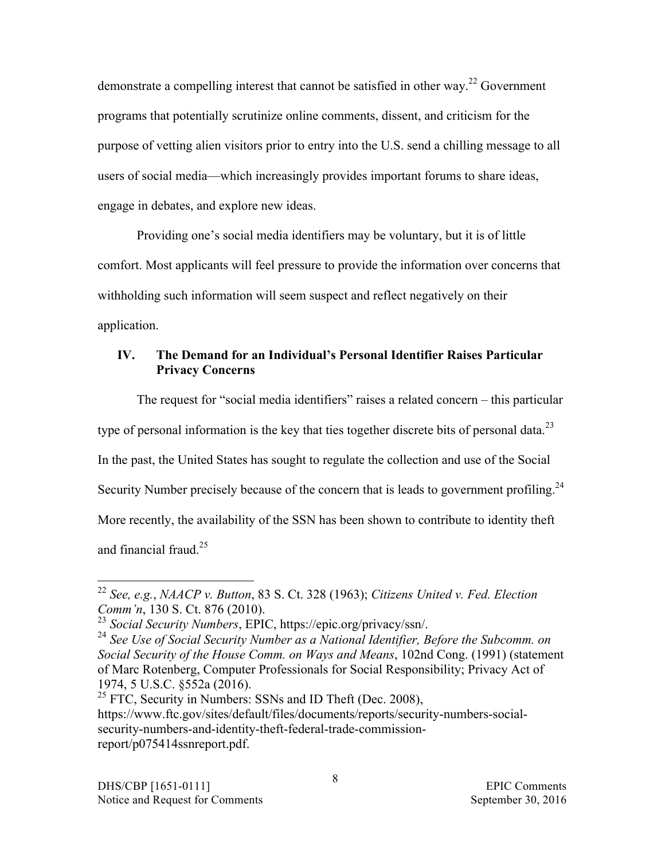demonstrate a compelling interest that cannot be satisfied in other way.<sup>22</sup> Government programs that potentially scrutinize online comments, dissent, and criticism for the purpose of vetting alien visitors prior to entry into the U.S. send a chilling message to all users of social media—which increasingly provides important forums to share ideas, engage in debates, and explore new ideas.

Providing one's social media identifiers may be voluntary, but it is of little comfort. Most applicants will feel pressure to provide the information over concerns that withholding such information will seem suspect and reflect negatively on their application.

# **IV. The Demand for an Individual's Personal Identifier Raises Particular Privacy Concerns**

The request for "social media identifiers" raises a related concern – this particular type of personal information is the key that ties together discrete bits of personal data.<sup>23</sup> In the past, the United States has sought to regulate the collection and use of the Social Security Number precisely because of the concern that is leads to government profiling.<sup>24</sup> More recently, the availability of the SSN has been shown to contribute to identity theft and financial fraud. $25$ 

 <sup>22</sup> *See, e.g.*, *NAACP v. Button*, 83 S. Ct. 328 (1963); *Citizens United v. Fed. Election Comm'n*, 130 S. Ct. 876 (2010).<br><sup>23</sup> Social Security Numbers, EPIC, https://epic.org/privacy/ssn/.

<sup>&</sup>lt;sup>24</sup> See Use of Social Security Number as a National Identifier, Before the Subcomm. on *Social Security of the House Comm. on Ways and Means*, 102nd Cong. (1991) (statement of Marc Rotenberg, Computer Professionals for Social Responsibility; Privacy Act of 1974, 5 U.S.C. §552a (2016).

 $25$  FTC, Security in Numbers: SSNs and ID Theft (Dec. 2008), https://www.ftc.gov/sites/default/files/documents/reports/security-numbers-socialsecurity-numbers-and-identity-theft-federal-trade-commissionreport/p075414ssnreport.pdf.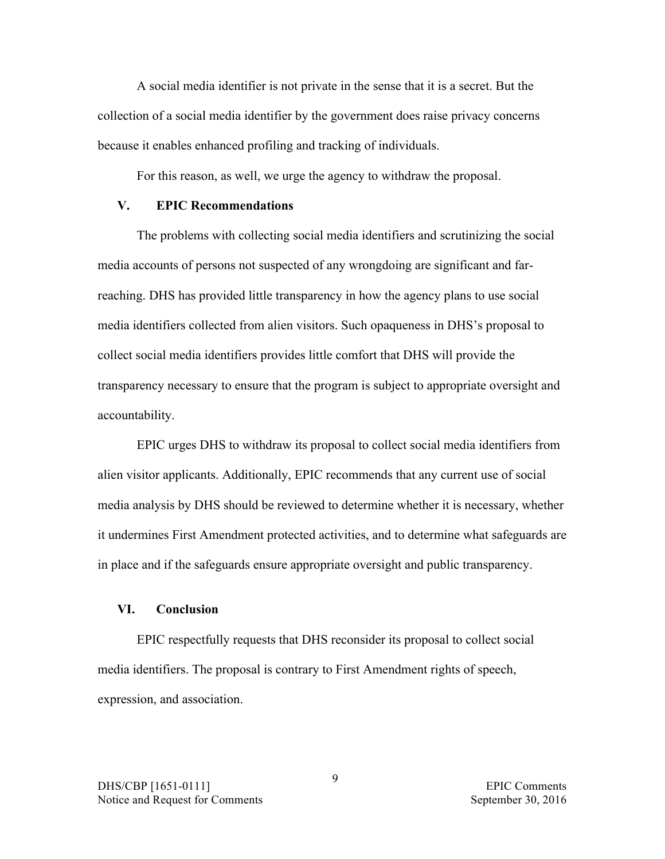A social media identifier is not private in the sense that it is a secret. But the collection of a social media identifier by the government does raise privacy concerns because it enables enhanced profiling and tracking of individuals.

For this reason, as well, we urge the agency to withdraw the proposal.

## **V. EPIC Recommendations**

The problems with collecting social media identifiers and scrutinizing the social media accounts of persons not suspected of any wrongdoing are significant and farreaching. DHS has provided little transparency in how the agency plans to use social media identifiers collected from alien visitors. Such opaqueness in DHS's proposal to collect social media identifiers provides little comfort that DHS will provide the transparency necessary to ensure that the program is subject to appropriate oversight and accountability.

EPIC urges DHS to withdraw its proposal to collect social media identifiers from alien visitor applicants. Additionally, EPIC recommends that any current use of social media analysis by DHS should be reviewed to determine whether it is necessary, whether it undermines First Amendment protected activities, and to determine what safeguards are in place and if the safeguards ensure appropriate oversight and public transparency.

#### **VI. Conclusion**

EPIC respectfully requests that DHS reconsider its proposal to collect social media identifiers. The proposal is contrary to First Amendment rights of speech, expression, and association.

9